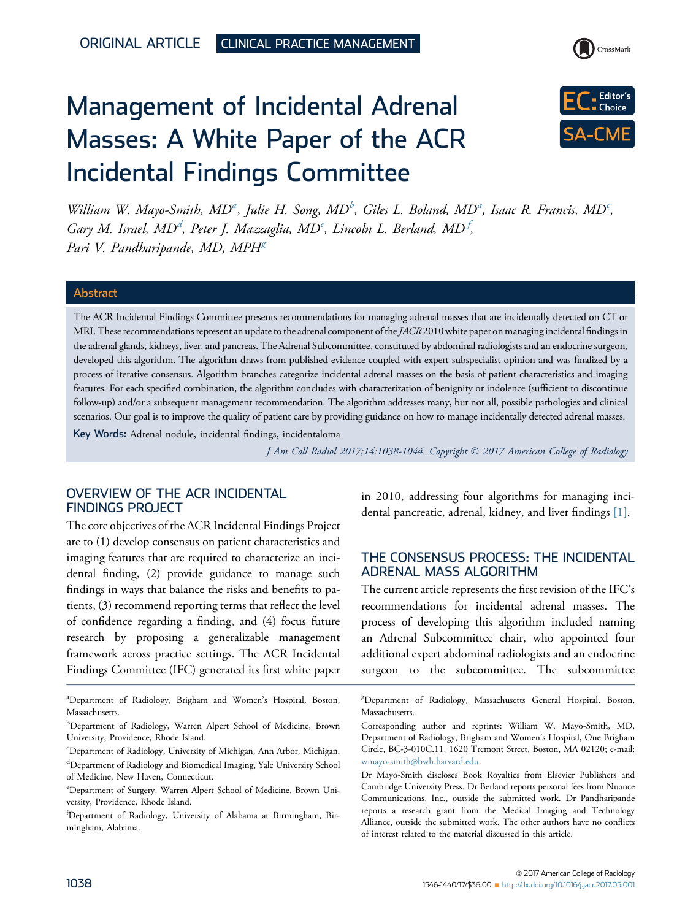

# Management of Incidental Adrenal Masses: A White Paper of the ACR Incidental Findings Committee



William W. Mayo-Smith, MD<sup>a</sup>, Julie H. Song, MD<sup>b</sup>, Giles L. Boland, MD<sup>a</sup>, Isaac R. Francis, MD<sup>c</sup>, Gary M. Israel, MD<sup>d</sup>, Peter J. Mazzaglia, MD<sup>e</sup>, Lincoln L. Berland, MD<sup>f</sup>, Pari V. Pandharipande, MD, MPH<sup>g</sup>

#### Abstract

The ACR Incidental Findings Committee presents recommendations for managing adrenal masses that are incidentally detected on CT or MRI. These recommendations represent an update to the adrenal component of the *JACR* 2010 white paper on managing incidental findings in the adrenal glands, kidneys, liver, and pancreas. The Adrenal Subcommittee, constituted by abdominal radiologists and an endocrine surgeon, developed this algorithm. The algorithm draws from published evidence coupled with expert subspecialist opinion and was finalized by a process of iterative consensus. Algorithm branches categorize incidental adrenal masses on the basis of patient characteristics and imaging features. For each specified combination, the algorithm concludes with characterization of benignity or indolence (sufficient to discontinue follow-up) and/or a subsequent management recommendation. The algorithm addresses many, but not all, possible pathologies and clinical scenarios. Our goal is to improve the quality of patient care by providing guidance on how to manage incidentally detected adrenal masses.

Key Words: Adrenal nodule, incidental findings, incidentaloma

J Am Coll Radiol 2017;14:1038-1044. Copyright 2017 American College of Radiology

#### OVERVIEW OF THE ACR INCIDENTAL FINDINGS PROJECT

The core objectives of the ACR Incidental Findings Project are to (1) develop consensus on patient characteristics and imaging features that are required to characterize an incidental finding, (2) provide guidance to manage such findings in ways that balance the risks and benefits to patients, (3) recommend reporting terms that reflect the level of confidence regarding a finding, and (4) focus future research by proposing a generalizable management framework across practice settings. The ACR Incidental Findings Committee (IFC) generated its first white paper

in 2010, addressing four algorithms for managing incidental pancreatic, adrenal, kidney, and liver findings [1].

#### THE CONSENSUS PROCESS: THE INCIDENTAL ADRENAL MASS ALGORITHM

The current article represents the first revision of the IFC's recommendations for incidental adrenal masses. The process of developing this algorithm included naming an Adrenal Subcommittee chair, who appointed four additional expert abdominal radiologists and an endocrine surgeon to the subcommittee. The subcommittee

g Department of Radiology, Massachusetts General Hospital, Boston, Massachusetts.

a Department of Radiology, Brigham and Women's Hospital, Boston, Massachusetts.

b Department of Radiology, Warren Alpert School of Medicine, Brown University, Providence, Rhode Island.

c Department of Radiology, University of Michigan, Ann Arbor, Michigan. d Department of Radiology and Biomedical Imaging, Yale University School of Medicine, New Haven, Connecticut.

e Department of Surgery, Warren Alpert School of Medicine, Brown University, Providence, Rhode Island.

f Department of Radiology, University of Alabama at Birmingham, Birmingham, Alabama.

Corresponding author and reprints: William W. Mayo-Smith, MD, Department of Radiology, Brigham and Women's Hospital, One Brigham Circle, BC-3-010C.11, 1620 Tremont Street, Boston, MA 02120; e-mail: [wmayo-smith@bwh.harvard.edu.](mailto:wmayo-smith@bwh.harvard.edu)

Dr Mayo-Smith discloses Book Royalties from Elsevier Publishers and Cambridge University Press. Dr Berland reports personal fees from Nuance Communications, Inc., outside the submitted work. Dr Pandharipande reports a research grant from the Medical Imaging and Technology Alliance, outside the submitted work. The other authors have no conflicts of interest related to the material discussed in this article.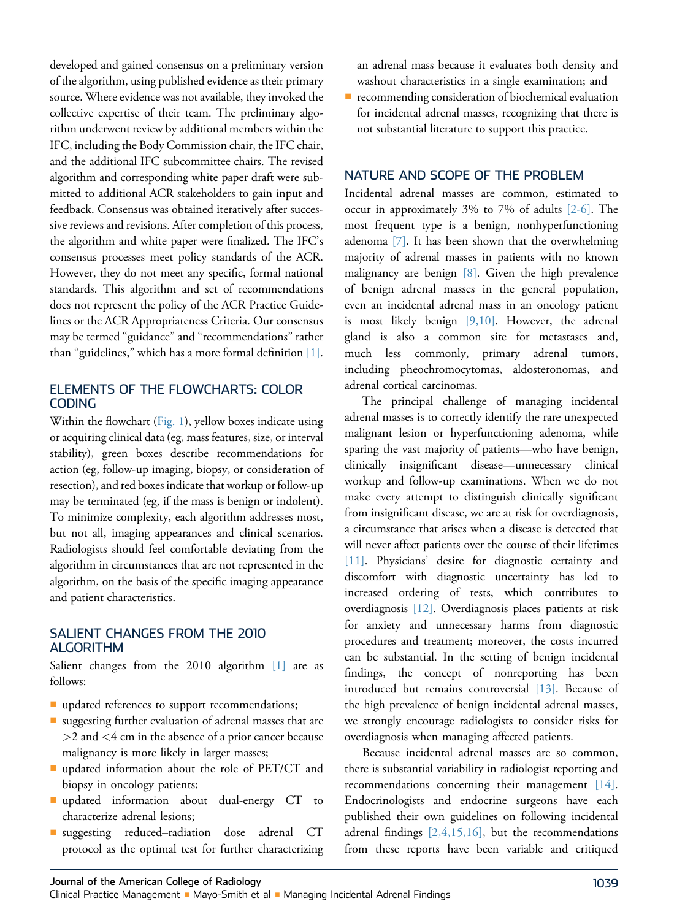developed and gained consensus on a preliminary version of the algorithm, using published evidence as their primary source. Where evidence was not available, they invoked the collective expertise of their team. The preliminary algorithm underwent review by additional members within the IFC, including the Body Commission chair, the IFC chair, and the additional IFC subcommittee chairs. The revised algorithm and corresponding white paper draft were submitted to additional ACR stakeholders to gain input and feedback. Consensus was obtained iteratively after successive reviews and revisions. After completion of this process, the algorithm and white paper were finalized. The IFC's consensus processes meet policy standards of the ACR. However, they do not meet any specific, formal national standards. This algorithm and set of recommendations does not represent the policy of the ACR Practice Guidelines or the ACR Appropriateness Criteria. Our consensus may be termed "guidance" and "recommendations" rather than "guidelines," which has a more formal definition [1].

## ELEMENTS OF THE FLOWCHARTS: COLOR **CODING**

Within the flowchart [\(Fig. 1](#page-2-0)), yellow boxes indicate using or acquiring clinical data (eg, mass features, size, or interval stability), green boxes describe recommendations for action (eg, follow-up imaging, biopsy, or consideration of resection), and red boxes indicate that workup or follow-up may be terminated (eg, if the mass is benign or indolent). To minimize complexity, each algorithm addresses most, but not all, imaging appearances and clinical scenarios. Radiologists should feel comfortable deviating from the algorithm in circumstances that are not represented in the algorithm, on the basis of the specific imaging appearance and patient characteristics.

#### SALIENT CHANGES FROM THE 2010 ALGORITHM

Salient changes from the 2010 algorithm [1] are as follows:

- n updated references to support recommendations;
- $\blacksquare$  suggesting further evaluation of adrenal masses that are >2 and <4 cm in the absence of a prior cancer because malignancy is more likely in larger masses;
- <sup>n</sup> updated information about the role of PET/CT and biopsy in oncology patients;
- n updated information about dual-energy CT to characterize adrenal lesions;
- suggesting reduced–radiation dose adrenal CT protocol as the optimal test for further characterizing

an adrenal mass because it evaluates both density and washout characteristics in a single examination; and

 $\blacksquare$  recommending consideration of biochemical evaluation for incidental adrenal masses, recognizing that there is not substantial literature to support this practice.

#### NATURE AND SCOPE OF THE PROBLEM

Incidental adrenal masses are common, estimated to occur in approximately 3% to 7% of adults [2-6]. The most frequent type is a benign, nonhyperfunctioning adenoma [7]. It has been shown that the overwhelming majority of adrenal masses in patients with no known malignancy are benign [8]. Given the high prevalence of benign adrenal masses in the general population, even an incidental adrenal mass in an oncology patient is most likely benign [9,10]. However, the adrenal gland is also a common site for metastases and, much less commonly, primary adrenal tumors, including pheochromocytomas, aldosteronomas, and adrenal cortical carcinomas.

The principal challenge of managing incidental adrenal masses is to correctly identify the rare unexpected malignant lesion or hyperfunctioning adenoma, while sparing the vast majority of patients—who have benign, clinically insignificant disease—unnecessary clinical workup and follow-up examinations. When we do not make every attempt to distinguish clinically significant from insignificant disease, we are at risk for overdiagnosis, a circumstance that arises when a disease is detected that will never affect patients over the course of their lifetimes [11]. Physicians' desire for diagnostic certainty and discomfort with diagnostic uncertainty has led to increased ordering of tests, which contributes to overdiagnosis [12]. Overdiagnosis places patients at risk for anxiety and unnecessary harms from diagnostic procedures and treatment; moreover, the costs incurred can be substantial. In the setting of benign incidental findings, the concept of nonreporting has been introduced but remains controversial [13]. Because of the high prevalence of benign incidental adrenal masses, we strongly encourage radiologists to consider risks for overdiagnosis when managing affected patients.

Because incidental adrenal masses are so common, there is substantial variability in radiologist reporting and recommendations concerning their management [14]. Endocrinologists and endocrine surgeons have each published their own guidelines on following incidental adrenal findings  $[2,4,15,16]$ , but the recommendations from these reports have been variable and critiqued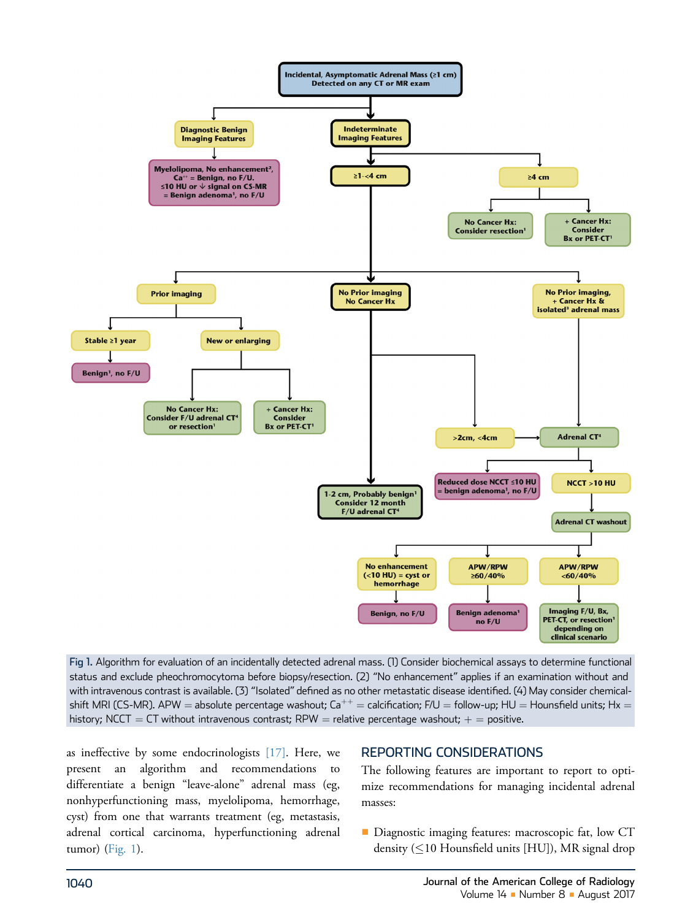<span id="page-2-0"></span>

Fig 1. Algorithm for evaluation of an incidentally detected adrenal mass. (1) Consider biochemical assays to determine functional status and exclude pheochromocytoma before biopsy/resection. (2) "No enhancement" applies if an examination without and with intravenous contrast is available. (3) "Isolated" defined as no other metastatic disease identified. (4) May consider chemicalshift MRI (CS-MR). APW = absolute percentage washout; Ca<sup>++</sup> = calcification; F/U = follow-up; HU = Hounsfield units; Hx = history; NCCT = CT without intravenous contrast; RPW = relative percentage washout;  $+$  = positive.

as ineffective by some endocrinologists [17]. Here, we present an algorithm and recommendations to differentiate a benign "leave-alone" adrenal mass (eg, nonhyperfunctioning mass, myelolipoma, hemorrhage, cyst) from one that warrants treatment (eg, metastasis, adrenal cortical carcinoma, hyperfunctioning adrenal tumor) (Fig. 1).

## REPORTING CONSIDERATIONS

The following features are important to report to optimize recommendations for managing incidental adrenal masses:

■ Diagnostic imaging features: macroscopic fat, low CT density ( $\leq$ 10 Hounsfield units [HU]), MR signal drop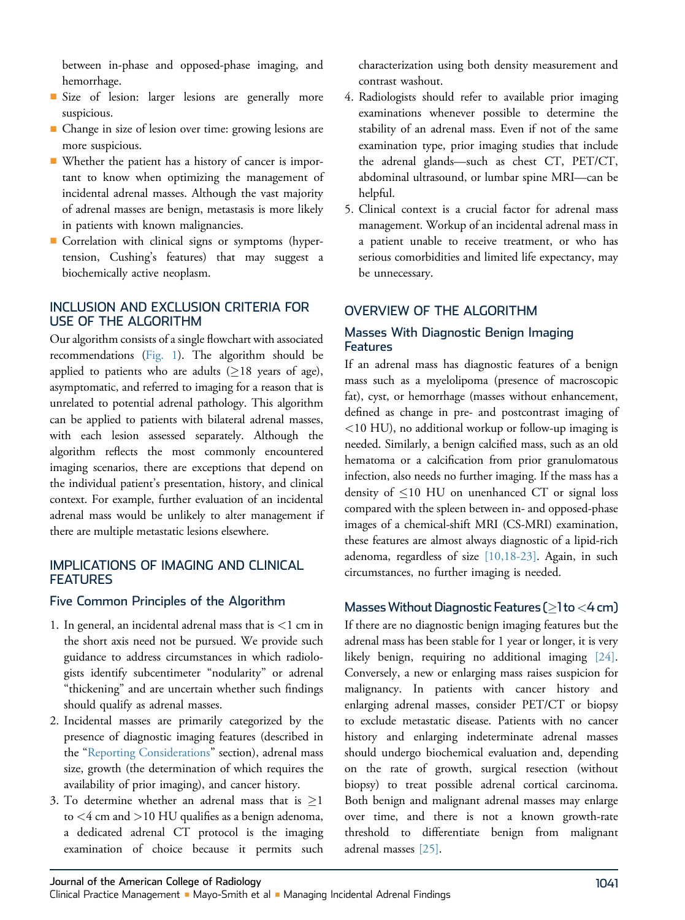between in-phase and opposed-phase imaging, and hemorrhage.

- **n** Size of lesion: larger lesions are generally more suspicious.
- Change in size of lesion over time: growing lesions are more suspicious.
- Whether the patient has a history of cancer is important to know when optimizing the management of incidental adrenal masses. Although the vast majority of adrenal masses are benign, metastasis is more likely in patients with known malignancies.
- <sup>n</sup> Correlation with clinical signs or symptoms (hypertension, Cushing's features) that may suggest a biochemically active neoplasm.

#### INCLUSION AND EXCLUSION CRITERIA FOR USE OF THE ALGORITHM

Our algorithm consists of a single flowchart with associated recommendations ([Fig. 1](#page-2-0)). The algorithm should be applied to patients who are adults  $(\geq 18$  years of age), asymptomatic, and referred to imaging for a reason that is unrelated to potential adrenal pathology. This algorithm can be applied to patients with bilateral adrenal masses, with each lesion assessed separately. Although the algorithm reflects the most commonly encountered imaging scenarios, there are exceptions that depend on the individual patient's presentation, history, and clinical context. For example, further evaluation of an incidental adrenal mass would be unlikely to alter management if there are multiple metastatic lesions elsewhere.

#### IMPLICATIONS OF IMAGING AND CLINICAL FEATURES

#### Five Common Principles of the Algorithm

- 1. In general, an incidental adrenal mass that is <1 cm in the short axis need not be pursued. We provide such guidance to address circumstances in which radiologists identify subcentimeter "nodularity" or adrenal "thickening" and are uncertain whether such findings should qualify as adrenal masses.
- 2. Incidental masses are primarily categorized by the presence of diagnostic imaging features (described in the "[Reporting Considerations](#page-2-0)" section), adrenal mass size, growth (the determination of which requires the availability of prior imaging), and cancer history.
- 3. To determine whether an adrenal mass that is  $\geq 1$ to  $\leq$  4 cm and  $>$  10 HU qualifies as a benign adenoma, a dedicated adrenal CT protocol is the imaging examination of choice because it permits such

characterization using both density measurement and contrast washout.

- 4. Radiologists should refer to available prior imaging examinations whenever possible to determine the stability of an adrenal mass. Even if not of the same examination type, prior imaging studies that include the adrenal glands—such as chest CT, PET/CT, abdominal ultrasound, or lumbar spine MRI—can be helpful.
- 5. Clinical context is a crucial factor for adrenal mass management. Workup of an incidental adrenal mass in a patient unable to receive treatment, or who has serious comorbidities and limited life expectancy, may be unnecessary.

## OVERVIEW OF THE ALGORITHM

## Masses With Diagnostic Benign Imaging **Features**

If an adrenal mass has diagnostic features of a benign mass such as a myelolipoma (presence of macroscopic fat), cyst, or hemorrhage (masses without enhancement, defined as change in pre- and postcontrast imaging of <10 HU), no additional workup or follow-up imaging is needed. Similarly, a benign calcified mass, such as an old hematoma or a calcification from prior granulomatous infection, also needs no further imaging. If the mass has a density of  $\leq 10$  HU on unenhanced CT or signal loss compared with the spleen between in- and opposed-phase images of a chemical-shift MRI (CS-MRI) examination, these features are almost always diagnostic of a lipid-rich adenoma, regardless of size [10,18-23]. Again, in such circumstances, no further imaging is needed.

## Masses Without Diagnostic Features ( $\geq$ 1 to  $<$  4 cm)

If there are no diagnostic benign imaging features but the adrenal mass has been stable for 1 year or longer, it is very likely benign, requiring no additional imaging [24]. Conversely, a new or enlarging mass raises suspicion for malignancy. In patients with cancer history and enlarging adrenal masses, consider PET/CT or biopsy to exclude metastatic disease. Patients with no cancer history and enlarging indeterminate adrenal masses should undergo biochemical evaluation and, depending on the rate of growth, surgical resection (without biopsy) to treat possible adrenal cortical carcinoma. Both benign and malignant adrenal masses may enlarge over time, and there is not a known growth-rate threshold to differentiate benign from malignant adrenal masses [25].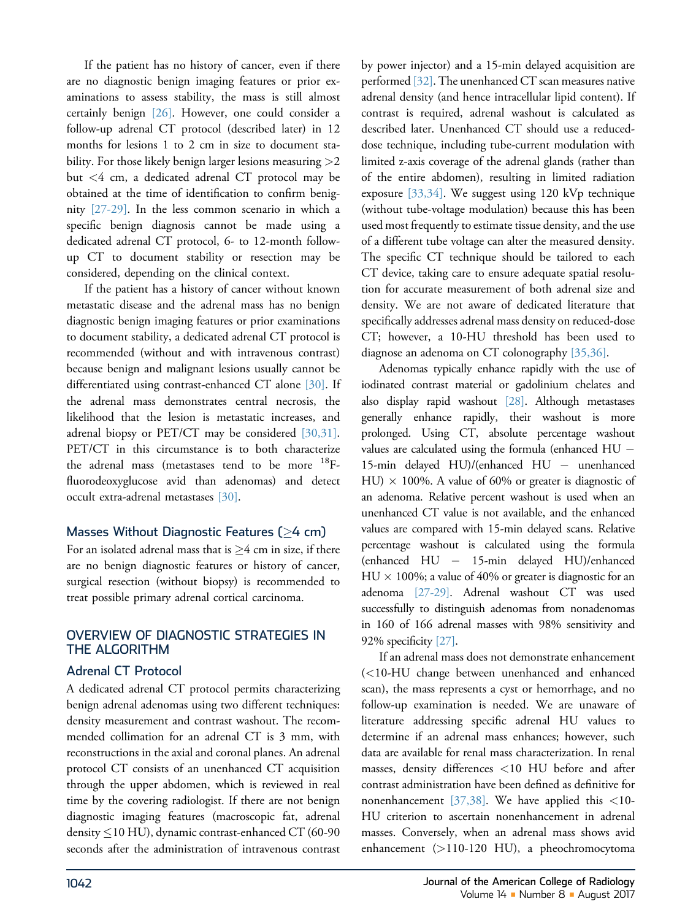If the patient has no history of cancer, even if there are no diagnostic benign imaging features or prior examinations to assess stability, the mass is still almost certainly benign [26]. However, one could consider a follow-up adrenal CT protocol (described later) in 12 months for lesions 1 to 2 cm in size to document stability. For those likely benign larger lesions measuring >2 but <4 cm, a dedicated adrenal CT protocol may be obtained at the time of identification to confirm benignity [27-29]. In the less common scenario in which a specific benign diagnosis cannot be made using a dedicated adrenal CT protocol, 6- to 12-month followup CT to document stability or resection may be considered, depending on the clinical context.

If the patient has a history of cancer without known metastatic disease and the adrenal mass has no benign diagnostic benign imaging features or prior examinations to document stability, a dedicated adrenal CT protocol is recommended (without and with intravenous contrast) because benign and malignant lesions usually cannot be differentiated using contrast-enhanced CT alone [30]. If the adrenal mass demonstrates central necrosis, the likelihood that the lesion is metastatic increases, and adrenal biopsy or PET/CT may be considered [30,31]. PET/CT in this circumstance is to both characterize the adrenal mass (metastases tend to be more <sup>18</sup>Ffluorodeoxyglucose avid than adenomas) and detect occult extra-adrenal metastases [30].

#### Masses Without Diagnostic Features ( $>4$  cm)

For an isolated adrenal mass that is  $\geq$ 4 cm in size, if there are no benign diagnostic features or history of cancer, surgical resection (without biopsy) is recommended to treat possible primary adrenal cortical carcinoma.

#### OVERVIEW OF DIAGNOSTIC STRATEGIES IN THE ALGORITHM

## Adrenal CT Protocol

A dedicated adrenal CT protocol permits characterizing benign adrenal adenomas using two different techniques: density measurement and contrast washout. The recommended collimation for an adrenal CT is 3 mm, with reconstructions in the axial and coronal planes. An adrenal protocol CT consists of an unenhanced CT acquisition through the upper abdomen, which is reviewed in real time by the covering radiologist. If there are not benign diagnostic imaging features (macroscopic fat, adrenal density  $\leq$ 10 HU), dynamic contrast-enhanced CT (60-90 seconds after the administration of intravenous contrast

by power injector) and a 15-min delayed acquisition are performed [32]. The unenhanced CT scan measures native adrenal density (and hence intracellular lipid content). If contrast is required, adrenal washout is calculated as described later. Unenhanced CT should use a reduceddose technique, including tube-current modulation with limited z-axis coverage of the adrenal glands (rather than of the entire abdomen), resulting in limited radiation exposure [33,34]. We suggest using 120 kVp technique (without tube-voltage modulation) because this has been used most frequently to estimate tissue density, and the use of a different tube voltage can alter the measured density. The specific CT technique should be tailored to each CT device, taking care to ensure adequate spatial resolution for accurate measurement of both adrenal size and density. We are not aware of dedicated literature that specifically addresses adrenal mass density on reduced-dose CT; however, a 10-HU threshold has been used to diagnose an adenoma on CT colonography [35,36].

Adenomas typically enhance rapidly with the use of iodinated contrast material or gadolinium chelates and also display rapid washout [28]. Although metastases generally enhance rapidly, their washout is more prolonged. Using CT, absolute percentage washout values are calculated using the formula (enhanced HU 15-min delayed HU)/(enhanced HU - unenhanced HU)  $\times$  100%. A value of 60% or greater is diagnostic of an adenoma. Relative percent washout is used when an unenhanced CT value is not available, and the enhanced values are compared with 15-min delayed scans. Relative percentage washout is calculated using the formula (enhanced HU 15-min delayed HU)/enhanced  $HU \times 100\%$ ; a value of 40% or greater is diagnostic for an adenoma [27-29]. Adrenal washout CT was used successfully to distinguish adenomas from nonadenomas in 160 of 166 adrenal masses with 98% sensitivity and 92% specificity [27].

If an adrenal mass does not demonstrate enhancement (<10-HU change between unenhanced and enhanced scan), the mass represents a cyst or hemorrhage, and no follow-up examination is needed. We are unaware of literature addressing specific adrenal HU values to determine if an adrenal mass enhances; however, such data are available for renal mass characterization. In renal masses, density differences <10 HU before and after contrast administration have been defined as definitive for nonenhancement [37,38]. We have applied this  $<10$ -HU criterion to ascertain nonenhancement in adrenal masses. Conversely, when an adrenal mass shows avid enhancement (>110-120 HU), a pheochromocytoma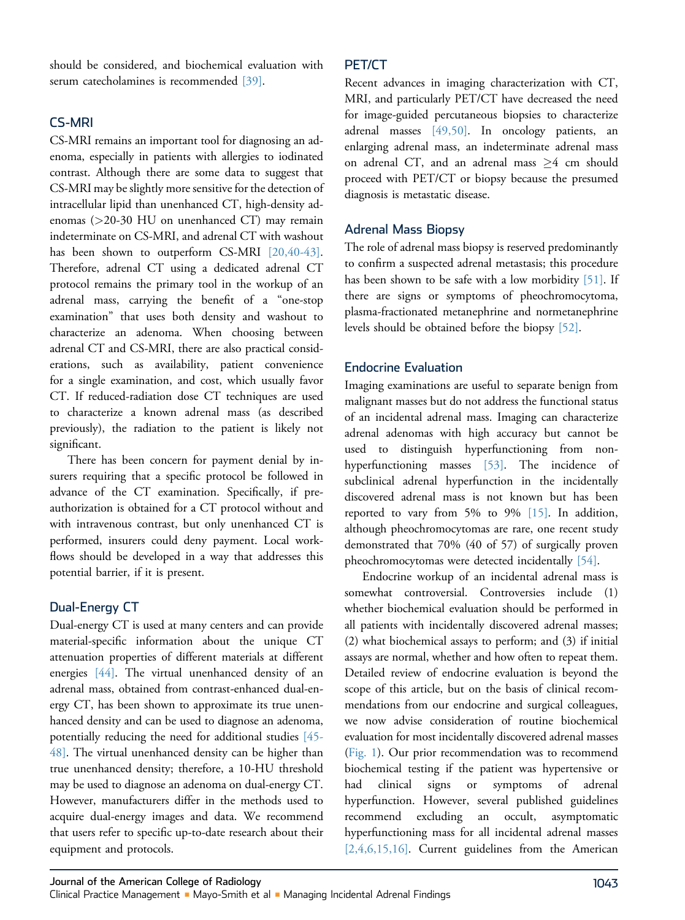should be considered, and biochemical evaluation with serum catecholamines is recommended [39].

## CS-MRI

CS-MRI remains an important tool for diagnosing an adenoma, especially in patients with allergies to iodinated contrast. Although there are some data to suggest that CS-MRI may be slightly more sensitive for the detection of intracellular lipid than unenhanced CT, high-density adenomas (>20-30 HU on unenhanced CT) may remain indeterminate on CS-MRI, and adrenal CT with washout has been shown to outperform CS-MRI [20,40-43]. Therefore, adrenal CT using a dedicated adrenal CT protocol remains the primary tool in the workup of an adrenal mass, carrying the benefit of a "one-stop examination" that uses both density and washout to characterize an adenoma. When choosing between adrenal CT and CS-MRI, there are also practical considerations, such as availability, patient convenience for a single examination, and cost, which usually favor CT. If reduced-radiation dose CT techniques are used to characterize a known adrenal mass (as described previously), the radiation to the patient is likely not significant.

There has been concern for payment denial by insurers requiring that a specific protocol be followed in advance of the CT examination. Specifically, if preauthorization is obtained for a CT protocol without and with intravenous contrast, but only unenhanced CT is performed, insurers could deny payment. Local workflows should be developed in a way that addresses this potential barrier, if it is present.

# Dual-Energy CT

Dual-energy CT is used at many centers and can provide material-specific information about the unique CT attenuation properties of different materials at different energies [44]. The virtual unenhanced density of an adrenal mass, obtained from contrast-enhanced dual-energy CT, has been shown to approximate its true unenhanced density and can be used to diagnose an adenoma, potentially reducing the need for additional studies [45- 48]. The virtual unenhanced density can be higher than true unenhanced density; therefore, a 10-HU threshold may be used to diagnose an adenoma on dual-energy CT. However, manufacturers differ in the methods used to acquire dual-energy images and data. We recommend that users refer to specific up-to-date research about their equipment and protocols.

#### PET/CT

Recent advances in imaging characterization with CT, MRI, and particularly PET/CT have decreased the need for image-guided percutaneous biopsies to characterize adrenal masses [49,50]. In oncology patients, an enlarging adrenal mass, an indeterminate adrenal mass on adrenal CT, and an adrenal mass  $\geq$ 4 cm should proceed with PET/CT or biopsy because the presumed diagnosis is metastatic disease.

## Adrenal Mass Biopsy

The role of adrenal mass biopsy is reserved predominantly to confirm a suspected adrenal metastasis; this procedure has been shown to be safe with a low morbidity [51]. If there are signs or symptoms of pheochromocytoma, plasma-fractionated metanephrine and normetanephrine levels should be obtained before the biopsy [52].

## Endocrine Evaluation

Imaging examinations are useful to separate benign from malignant masses but do not address the functional status of an incidental adrenal mass. Imaging can characterize adrenal adenomas with high accuracy but cannot be used to distinguish hyperfunctioning from nonhyperfunctioning masses [53]. The incidence of subclinical adrenal hyperfunction in the incidentally discovered adrenal mass is not known but has been reported to vary from 5% to 9% [15]. In addition, although pheochromocytomas are rare, one recent study demonstrated that 70% (40 of 57) of surgically proven pheochromocytomas were detected incidentally [54].

Endocrine workup of an incidental adrenal mass is somewhat controversial. Controversies include (1) whether biochemical evaluation should be performed in all patients with incidentally discovered adrenal masses; (2) what biochemical assays to perform; and (3) if initial assays are normal, whether and how often to repeat them. Detailed review of endocrine evaluation is beyond the scope of this article, but on the basis of clinical recommendations from our endocrine and surgical colleagues, we now advise consideration of routine biochemical evaluation for most incidentally discovered adrenal masses [\(Fig. 1](#page-2-0)). Our prior recommendation was to recommend biochemical testing if the patient was hypertensive or had clinical signs or symptoms of adrenal hyperfunction. However, several published guidelines recommend excluding an occult, asymptomatic hyperfunctioning mass for all incidental adrenal masses [2,4,6,15,16]. Current guidelines from the American